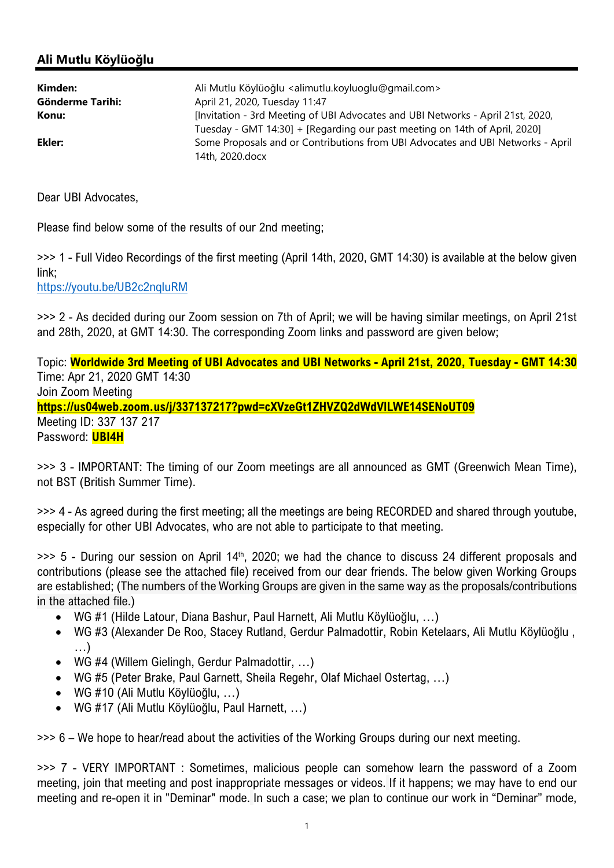## Ali Mutlu Köylüoğlu

| Kimden:<br>Gönderme Tarihi: | Ali Mutlu Köylüoğlu <alimutlu.koyluoglu@gmail.com><br/>April 21, 2020, Tuesday 11:47</alimutlu.koyluoglu@gmail.com>                                           |
|-----------------------------|---------------------------------------------------------------------------------------------------------------------------------------------------------------|
| Konu:                       | [Invitation - 3rd Meeting of UBI Advocates and UBI Networks - April 21st, 2020,<br>Tuesday - GMT 14:30] + [Regarding our past meeting on 14th of April, 2020] |
| Ekler:                      | Some Proposals and or Contributions from UBI Advocates and UBI Networks - April<br>14th, 2020.docx                                                            |

Dear UBI Advocates,

Please find below some of the results of our 2nd meeting;

>>> 1 - Full Video Recordings of the first meeting (April 14th, 2020, GMT 14:30) is available at the below given link;

https://youtu.be/UB2c2nqIuRM

>>> 2 - As decided during our Zoom session on 7th of April; we will be having similar meetings, on April 21st and 28th, 2020, at GMT 14:30. The corresponding Zoom links and password are given below;

Topic: Worldwide 3rd Meeting of UBI Advocates and UBI Networks - April 21st, 2020, Tuesday - GMT 14:30 Time: Apr 21, 2020 GMT 14:30 Join Zoom Meeting https://us04web.zoom.us/j/337137217?pwd=cXVzeGt1ZHVZQ2dWdVlLWE14SENoUT09 Meeting ID: 337 137 217 Password: **UBI4H** 

>>> 3 - IMPORTANT: The timing of our Zoom meetings are all announced as GMT (Greenwich Mean Time), not BST (British Summer Time).

>>> 4 - As agreed during the first meeting; all the meetings are being RECORDED and shared through youtube, especially for other UBI Advocates, who are not able to participate to that meeting.

>>> 5 - During our session on April 14<sup>th</sup>, 2020; we had the chance to discuss 24 different proposals and contributions (please see the attached file) received from our dear friends. The below given Working Groups are established; (The numbers of the Working Groups are given in the same way as the proposals/contributions in the attached file.)

- WG #1 (Hilde Latour, Diana Bashur, Paul Harnett, Ali Mutlu Köylüoğlu, …)
- WG #3 (Alexander De Roo, Stacey Rutland, Gerdur Palmadottir, Robin Ketelaars, Ali Mutlu Köylüoğlu , …)
- WG #4 (Willem Gielingh, Gerdur Palmadottir, …)
- WG #5 (Peter Brake, Paul Garnett, Sheila Regehr, Olaf Michael Ostertag, …)
- WG #10 (Ali Mutlu Köylüoğlu, …)
- WG #17 (Ali Mutlu Köylüoğlu, Paul Harnett, …)

>>> 6 – We hope to hear/read about the activities of the Working Groups during our next meeting.

>>> 7 - VERY IMPORTANT : Sometimes, malicious people can somehow learn the password of a Zoom meeting, join that meeting and post inappropriate messages or videos. If it happens; we may have to end our meeting and re-open it in "Deminar" mode. In such a case; we plan to continue our work in "Deminar" mode,